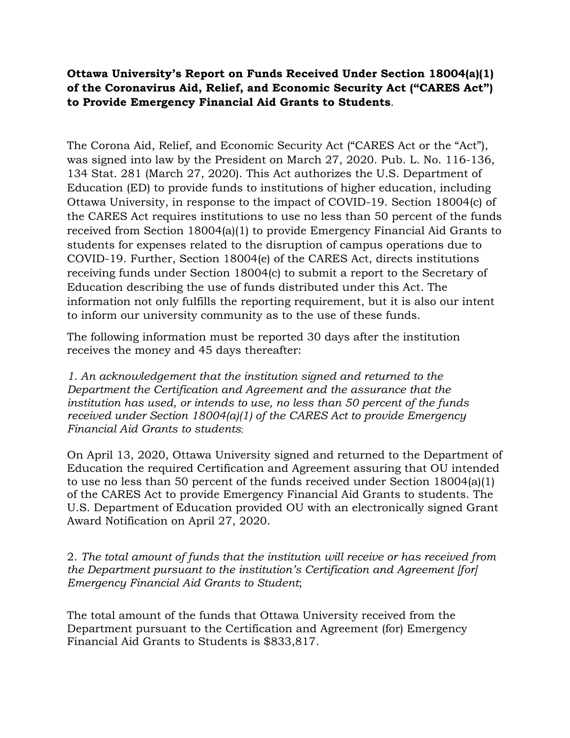**Ottawa University's Report on Funds Received Under Section 18004(a)(1) of the Coronavirus Aid, Relief, and Economic Security Act ("CARES Act") to Provide Emergency Financial Aid Grants to Students**.

The Corona Aid, Relief, and Economic Security Act ("CARES Act or the "Act"), was signed into law by the President on March 27, 2020. Pub. L. No. 116-136, 134 Stat. 281 (March 27, 2020). This Act authorizes the U.S. Department of Education (ED) to provide funds to institutions of higher education, including Ottawa University, in response to the impact of COVID-19. Section 18004(c) of the CARES Act requires institutions to use no less than 50 percent of the funds received from Section 18004(a)(1) to provide Emergency Financial Aid Grants to students for expenses related to the disruption of campus operations due to COVID-19. Further, Section 18004(e) of the CARES Act, directs institutions receiving funds under Section 18004(c) to submit a report to the Secretary of Education describing the use of funds distributed under this Act. The information not only fulfills the reporting requirement, but it is also our intent to inform our university community as to the use of these funds.

The following information must be reported 30 days after the institution receives the money and 45 days thereafter:

*1. An acknowledgement that the institution signed and returned to the Department the Certification and Agreement and the assurance that the institution has used, or intends to use, no less than 50 percent of the funds received under Section 18004(a)(1) of the CARES Act to provide Emergency Financial Aid Grants to students*;

On April 13, 2020, Ottawa University signed and returned to the Department of Education the required Certification and Agreement assuring that OU intended to use no less than 50 percent of the funds received under Section 18004(a)(1) of the CARES Act to provide Emergency Financial Aid Grants to students. The U.S. Department of Education provided OU with an electronically signed Grant Award Notification on April 27, 2020.

2. *The total amount of funds that the institution will receive or has received from the Department pursuant to the institution's Certification and Agreement [for] Emergency Financial Aid Grants to Student*;

The total amount of the funds that Ottawa University received from the Department pursuant to the Certification and Agreement (for) Emergency Financial Aid Grants to Students is \$833,817.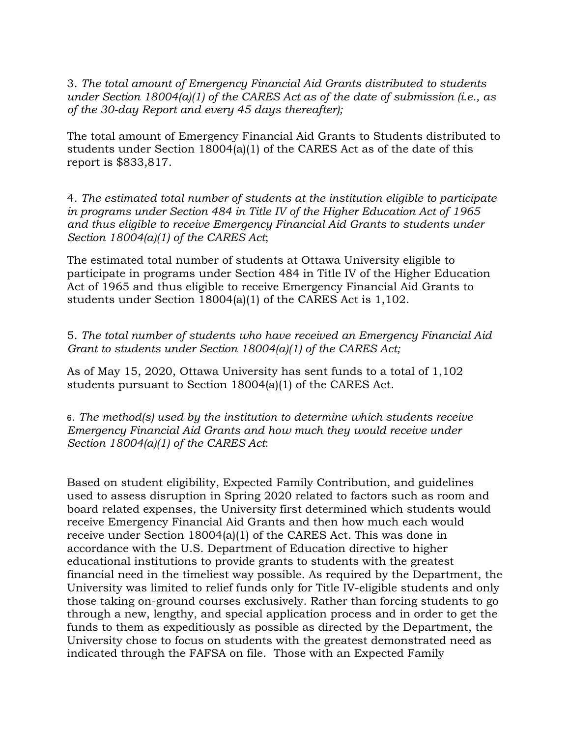3. *The total amount of Emergency Financial Aid Grants distributed to students under Section 18004(a)(1) of the CARES Act as of the date of submission (i.e., as of the 30-day Report and every 45 days thereafter);* 

The total amount of Emergency Financial Aid Grants to Students distributed to students under Section 18004(a)(1) of the CARES Act as of the date of this report is \$833,817.

4. *The estimated total number of students at the institution eligible to participate in programs under Section 484 in Title IV of the Higher Education Act of 1965 and thus eligible to receive Emergency Financial Aid Grants to students under Section 18004(a)(1) of the CARES Act*;

The estimated total number of students at Ottawa University eligible to participate in programs under Section 484 in Title IV of the Higher Education Act of 1965 and thus eligible to receive Emergency Financial Aid Grants to students under Section 18004(a)(1) of the CARES Act is 1,102.

5. *The total number of students who have received an Emergency Financial Aid Grant to students under Section 18004(a)(1) of the CARES Act;*

As of May 15, 2020, Ottawa University has sent funds to a total of 1,102 students pursuant to Section 18004(a)(1) of the CARES Act.

6. *The method(s) used by the institution to determine which students receive Emergency Financial Aid Grants and how much they would receive under Section 18004(a)(1) of the CARES Act*:

Based on student eligibility, Expected Family Contribution, and guidelines used to assess disruption in Spring 2020 related to factors such as room and board related expenses, the University first determined which students would receive Emergency Financial Aid Grants and then how much each would receive under Section 18004(a)(1) of the CARES Act. This was done in accordance with the U.S. Department of Education directive to higher educational institutions to provide grants to students with the greatest financial need in the timeliest way possible. As required by the Department, the University was limited to relief funds only for Title IV-eligible students and only those taking on-ground courses exclusively. Rather than forcing students to go through a new, lengthy, and special application process and in order to get the funds to them as expeditiously as possible as directed by the Department, the University chose to focus on students with the greatest demonstrated need as indicated through the FAFSA on file. Those with an Expected Family